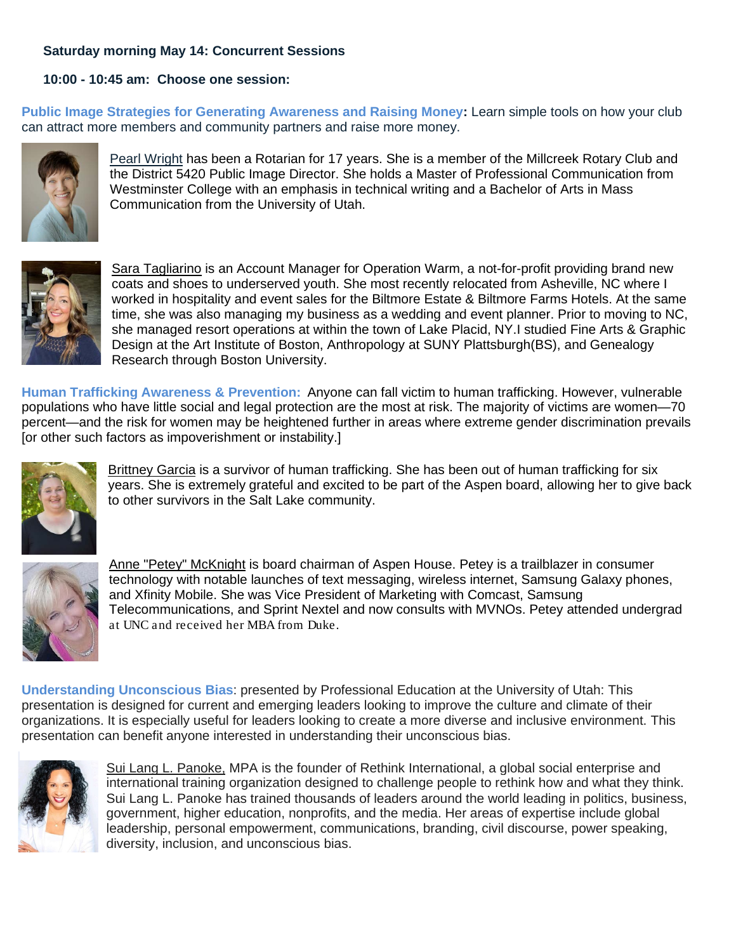## **Saturday morning May 14: Concurrent Sessions**

## **10:00 - 10:45 am: Choose one session:**

**Public Image Strategies for Generating Awareness and Raising Money:** Learn simple tools on how your club can attract more members and community partners and raise more money.



Pearl Wright has been a Rotarian for 17 years. She is a member of the Millcreek Rotary Club and the District 5420 Public Image Director. She holds a Master of Professional Communication from Westminster College with an emphasis in technical writing and a Bachelor of Arts in Mass Communication from the University of Utah.



Sara Tagliarino is an Account Manager for Operation Warm, a not-for-profit providing brand new coats and shoes to underserved youth. She most recently relocated from Asheville, NC where I worked in hospitality and event sales for the Biltmore Estate & Biltmore Farms Hotels. At the same time, she was also managing my business as a wedding and event planner. Prior to moving to NC, she managed resort operations at within the town of Lake Placid, NY.I studied Fine Arts & Graphic Design at the Art Institute of Boston, Anthropology at SUNY Plattsburgh(BS), and Genealogy Research through Boston University.

**Human Trafficking Awareness & Prevention:** Anyone can fall victim to human trafficking. However, vulnerable populations who have little social and legal protection are the most at risk. The majority of victims are women—70 percent—and the risk for women may be heightened further in areas where extreme gender discrimination prevails [or other such factors as impoverishment or instability.]



Brittney Garcia is a survivor of human trafficking. She has been out of human trafficking for six years. She is extremely grateful and excited to be part of the Aspen board, allowing her to give back to other survivors in the Salt Lake community.



Anne "Petey" McKnight is board chairman of Aspen House. Petey is a trailblazer in consumer technology with notable launches of text messaging, wireless internet, Samsung Galaxy phones, and Xfinity Mobile. She was Vice President of Marketing with Comcast, Samsung Telecommunications, and Sprint Nextel and now consults with MVNOs. Petey attended undergrad at UNC and received her MBA from Duke.

**Understanding Unconscious Bias**: presented by Professional Education at the University of Utah: This presentation is designed for current and emerging leaders looking to improve the culture and climate of their organizations. It is especially useful for leaders looking to create a more diverse and inclusive environment. This presentation can benefit anyone interested in understanding their unconscious bias.



Sui Lang L. Panoke, MPA is the founder of Rethink International, a global social enterprise and international training organization designed to challenge people to rethink how and what they think. Sui Lang L. Panoke has trained thousands of leaders around the world leading in politics, business, government, higher education, nonprofits, and the media. Her areas of expertise include global leadership, personal empowerment, communications, branding, civil discourse, power speaking, diversity, inclusion, and unconscious bias.